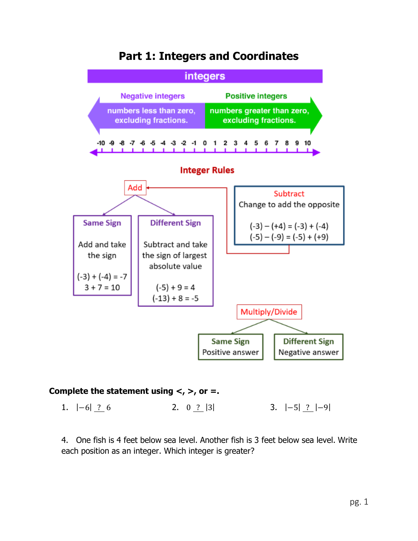

# **Part 1: Integers and Coordinates**

# **Complete the statement using <, >, or =.**

1. |−6| ? 6 2. 0 ? |3| 3. |−5| ? |−9|

4. One fish is 4 feet below sea level. Another fish is 3 feet below sea level. Write each position as an integer. Which integer is greater?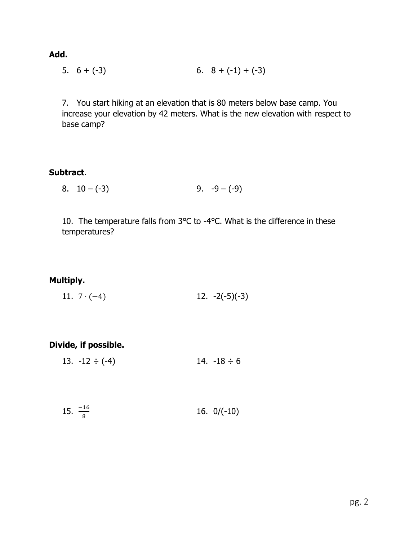**Add.**

5. 
$$
6 + (-3)
$$
 6.  $8 + (-1) + (-3)$ 

7. You start hiking at an elevation that is 80 meters below base camp. You increase your elevation by 42 meters. What is the new elevation with respect to base camp?

### **Subtract**.

8.  $10 - (-3)$  9.  $-9 - (-9)$ 

10. The temperature falls from 3℃ to -4℃. What is the difference in these temperatures?

# **Multiply.**

11.  $7 \cdot (-4)$  12.  $-2(-5)(-3)$ 

# **Divide, if possible.**

13.  $-12 \div (-4)$  14.  $-18 \div 6$ 

$$
15. \ \frac{-16}{8} \qquad \qquad 16. \ \ 0/(-10)
$$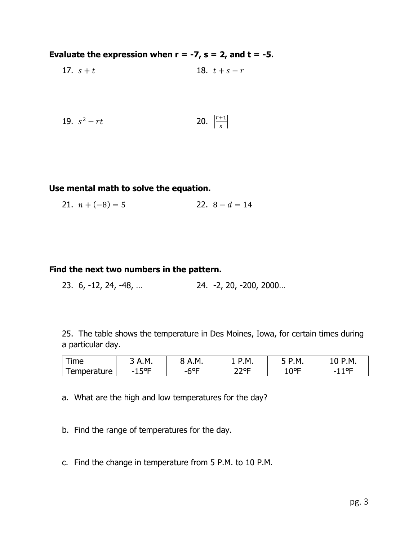# **Evaluate the expression when**  $r = -7$ **,**  $s = 2$ **, and**  $t = -5$ **.**

17. 
$$
s + t
$$
 18.  $t + s - r$ 

19. 
$$
s^2 - rt
$$
 20.  $\left| \frac{r+1}{s} \right|$ 

### **Use mental math to solve the equation.**

21.  $n + (-8) = 5$  22.  $8 - d = 14$ 

### **Find the next two numbers in the pattern.**

23. 6, -12, 24, -48, … 24. -2, 20, -200, 2000…

25. The table shows the temperature in Des Moines, Iowa, for certain times during a particular day.

| <b>Ime</b>                        | $\Lambda$ .M | M         | M.   | ١.M       | м                             |
|-----------------------------------|--------------|-----------|------|-----------|-------------------------------|
| $\sim$<br>חוד'.<br>enner.<br>7111 | ᄗᅂ<br>-<br>∸ | r∩r<br>-n | ⊐סרר | ∩∘⊏<br>ΨL | $^{\circ}$ OC $^{\circ}$<br>- |

a. What are the high and low temperatures for the day?

- b. Find the range of temperatures for the day.
- c. Find the change in temperature from 5 P.M. to 10 P.M.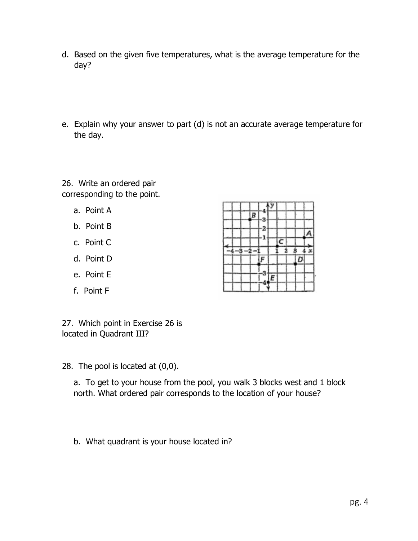- d. Based on the given five temperatures, what is the average temperature for the day?
- e. Explain why your answer to part (d) is not an accurate average temperature for the day.

26. Write an ordered pair corresponding to the point.

- a. Point A
- b. Point B
- c. Point C
- d. Point D
- e. Point E
- f. Point F

27. Which point in Exercise 26 is located in Quadrant III?

28. The pool is located at (0,0).

a. To get to your house from the pool, you walk 3 blocks west and 1 block north. What ordered pair corresponds to the location of your house?

b. What quadrant is your house located in?

|  | ŀ |  |   |   |  |
|--|---|--|---|---|--|
|  |   |  | C |   |  |
|  |   |  |   | ο |  |
|  |   |  |   |   |  |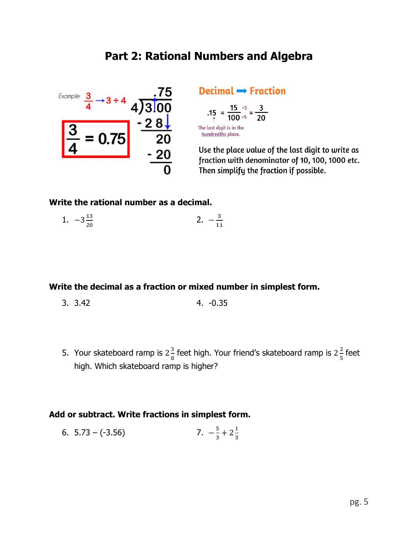# **Part 2: Rational Numbers and Algebra**



# Decimal  $\rightarrow$  Fraction

$$
.15 = \frac{15}{100} = \frac{15}{100} = \frac{3}{20}
$$

The last digit is in the<br><u>hundredths</u> place.

Use the place value of the last digit to write as fraction with denominator of 10, 100, 1000 etc. Then simplify the fraction if possible.

### **Write the rational number as a decimal.**

1.  $-3\frac{13}{20}$ 20 2.  $-\frac{3}{14}$ 11

## **Write the decimal as a fraction or mixed number in simplest form.**

- 3. 3.42 4. -0.35
- 5. Your skateboard ramp is  $2\frac{3}{6}$  $\frac{3}{8}$  feet high. Your friend's skateboard ramp is 2 $\frac{2}{5}$  $rac{2}{5}$  feet high. Which skateboard ramp is higher?

# **Add or subtract. Write fractions in simplest form.**

6. 5.73 – (-3.56) 
$$
7. -\frac{5}{3} + 2\frac{1}{3}
$$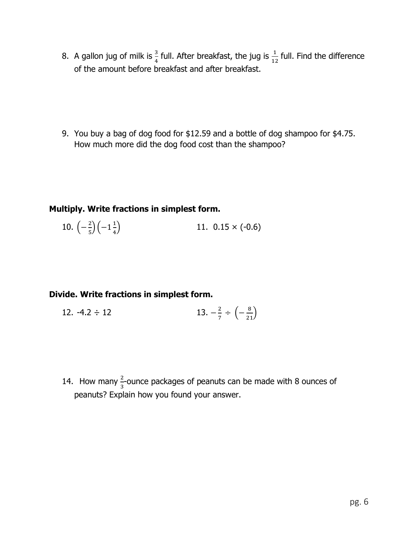8. A gallon jug of milk is  $\frac{3}{4}$  full. After breakfast, the jug is  $\frac{1}{12}$  full. Find the difference of the amount before breakfast and after breakfast.

9. You buy a bag of dog food for \$12.59 and a bottle of dog shampoo for \$4.75. How much more did the dog food cost than the shampoo?

## **Multiply. Write fractions in simplest form.**

10. 
$$
\left(-\frac{2}{5}\right)\left(-1\frac{1}{4}\right)
$$
 11. 0.15 × (-0.6)

# **Divide. Write fractions in simplest form.**

12. -4.2 ÷ 12 
$$
13. -\frac{2}{7} \div \left(-\frac{8}{21}\right)
$$

14. How many  $\frac{2}{3}$ -ounce packages of peanuts can be made with 8 ounces of peanuts? Explain how you found your answer.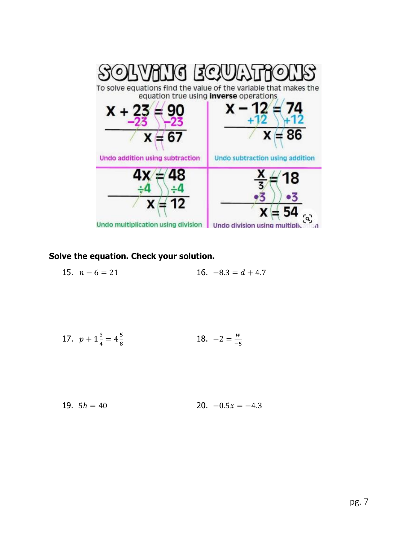

# **Solve the equation. Check your solution.**

15. 
$$
n-6=21
$$
 16.  $-8.3 = d + 4.7$ 

17. 
$$
p + 1\frac{3}{4} = 4\frac{5}{8}
$$
 18.  $-2 = \frac{w}{-5}$ 

19. 
$$
5h = 40
$$
 20.  $-0.5x = -4.3$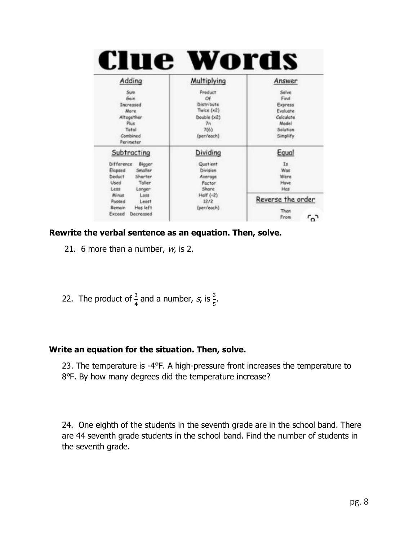| Preduct<br>Solve<br>Sum<br>Gain<br>Find<br>Of<br><b>Distribute</b><br><b>Increased</b><br>Express<br>Twice (x2)<br>Evaluate<br><b>Mare</b><br>Calculate<br>Altogether<br>Double (x2)<br>Plus<br>Model<br>Tn<br>Total<br>7(6)<br>Solution<br>Combined<br>(per/each)<br>Simplify<br>Perimeter<br>Dividing<br>Equal<br>Subtracting<br>Ĭs.<br><b>Difference</b><br><b>Bigger</b><br>Quotient<br>Smaller<br>Elapsed<br>Division<br>Was<br>Deduct:<br>Shorter<br>Were<br>Average<br>Toller<br>Used<br>Have<br>Factor<br>Share<br>Hos<br>Less<br>Longer | Adding                                    | Multiplying | Answer       |
|--------------------------------------------------------------------------------------------------------------------------------------------------------------------------------------------------------------------------------------------------------------------------------------------------------------------------------------------------------------------------------------------------------------------------------------------------------------------------------------------------------------------------------------------------|-------------------------------------------|-------------|--------------|
|                                                                                                                                                                                                                                                                                                                                                                                                                                                                                                                                                  |                                           |             |              |
|                                                                                                                                                                                                                                                                                                                                                                                                                                                                                                                                                  |                                           |             |              |
|                                                                                                                                                                                                                                                                                                                                                                                                                                                                                                                                                  |                                           |             |              |
|                                                                                                                                                                                                                                                                                                                                                                                                                                                                                                                                                  | Has left<br>Remain<br>Exceed<br>Decreased | (per/each)  | Than<br>From |

### **Rewrite the verbal sentence as an equation. Then, solve.**

- 21. 6 more than a number,  $w_i$ , is 2.
- 22. The product of  $\frac{3}{4}$  and a number, s, is  $\frac{3}{5}$ .

# **Write an equation for the situation. Then, solve.**

23. The temperature is -4℉. A high-pressure front increases the temperature to 8℉. By how many degrees did the temperature increase?

24. One eighth of the students in the seventh grade are in the school band. There are 44 seventh grade students in the school band. Find the number of students in the seventh grade.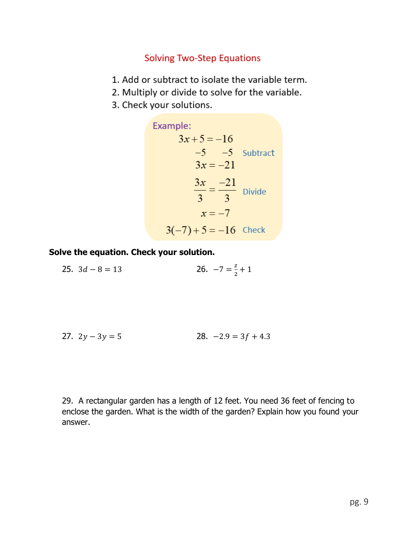# **Solving Two-Step Equations**

- 1. Add or subtract to isolate the variable term.
- 2. Multiply or divide to solve for the variable.
- 3. Check your solutions.

Example:  
\n
$$
3x + 5 = -16
$$
  
\n $-5 \t -5$  Subtract  
\n $3x = -21$   
\n $\frac{3x}{3} = \frac{-21}{3}$  Divide  
\n $x = -7$   
\n $3(-7) + 5 = -16$  Check

**Solve the equation. Check your solution.**

25.  $3d - 8 = 13$ Z  $\frac{2}{2} + 1$ 

27. 
$$
2y - 3y = 5
$$
 28.  $-2.9 = 3f + 4.3$ 

29. A rectangular garden has a length of 12 feet. You need 36 feet of fencing to enclose the garden. What is the width of the garden? Explain how you found your answer.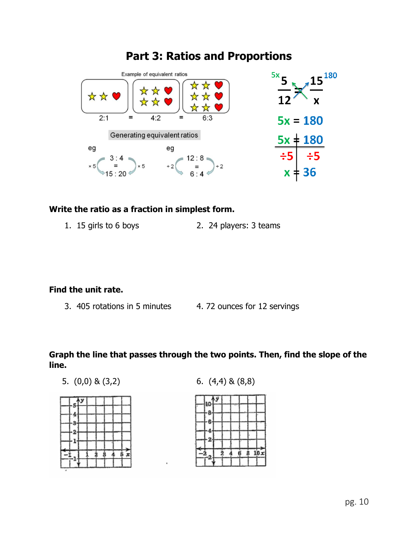

# **Part 3: Ratios and Proportions**

## **Write the ratio as a fraction in simplest form.**

1. 15 girls to 6 boys 2. 24 players: 3 teams

# **Find the unit rate.**

- 3. 405 rotations in 5 minutes 4. 72 ounces for 12 servings
	-

# **Graph the line that passes through the two points. Then, find the slope of the line.**

5. (0,0) & (3,2) 6. (4,4) & (8,8)

|   | 5 <sup>12</sup> |  |               |    |                            |
|---|-----------------|--|---------------|----|----------------------------|
|   | 4               |  |               |    |                            |
|   |                 |  |               |    |                            |
|   |                 |  |               |    |                            |
|   | -2<br>-1.       |  |               |    |                            |
|   |                 |  |               |    |                            |
| q |                 |  | $\frac{1}{3}$ | i. | $\tilde{\mathbf{x}}$<br>Ė. |
|   |                 |  |               |    |                            |
|   |                 |  |               |    |                            |

6 10 x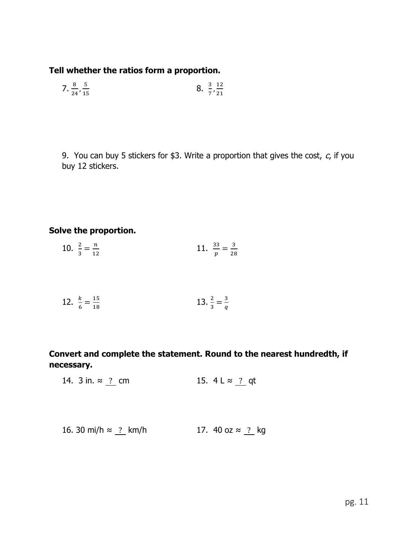# **Tell whether the ratios form a proportion.**

7. 
$$
\frac{8}{24}, \frac{5}{15}
$$
 8.  $\frac{3}{7}, \frac{12}{21}$ 

9. You can buy 5 stickers for \$3. Write a proportion that gives the cost,  $c$ , if you buy 12 stickers.

# **Solve the proportion.**

10. 
$$
\frac{2}{3} = \frac{n}{12}
$$
 11.  $\frac{33}{p} = \frac{3}{28}$ 

12. 
$$
\frac{k}{6} = \frac{15}{18}
$$
 13.  $\frac{2}{3} = \frac{3}{q}$ 

**Convert and complete the statement. Round to the nearest hundredth, if necessary.**

14. 3 in. ≈  $\frac{?}{?}$  cm 15. 4 L ≈  $\frac{?}{?}$  qt

16. 30 mi/h ≈ ? km/h 17. 40 oz ≈ ? kg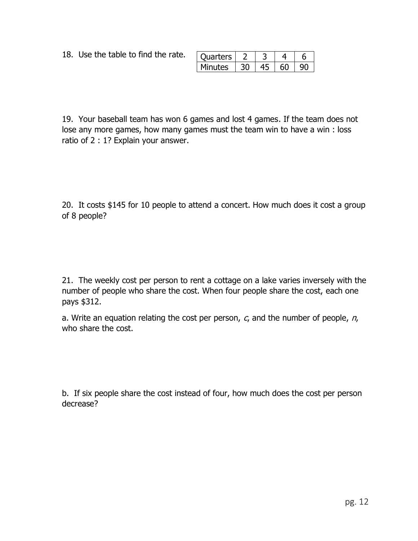18. Use the table to find the rate.

| Juarters |  | г |
|----------|--|---|
| Minutes  |  |   |

19. Your baseball team has won 6 games and lost 4 games. If the team does not lose any more games, how many games must the team win to have a win : loss ratio of 2 : 1? Explain your answer.

20. It costs \$145 for 10 people to attend a concert. How much does it cost a group of 8 people?

21. The weekly cost per person to rent a cottage on a lake varies inversely with the number of people who share the cost. When four people share the cost, each one pays \$312.

a. Write an equation relating the cost per person,  $c_i$  and the number of people,  $n_i$ who share the cost.

b. If six people share the cost instead of four, how much does the cost per person decrease?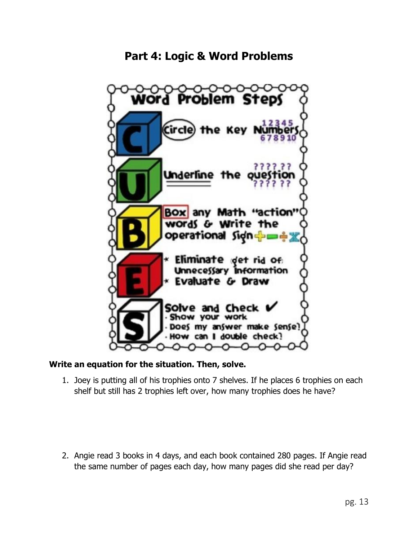# **Part 4: Logic & Word Problems**



## **Write an equation for the situation. Then, solve.**

1. Joey is putting all of his trophies onto 7 shelves. If he places 6 trophies on each shelf but still has 2 trophies left over, how many trophies does he have?

2. Angie read 3 books in 4 days, and each book contained 280 pages. If Angie read the same number of pages each day, how many pages did she read per day?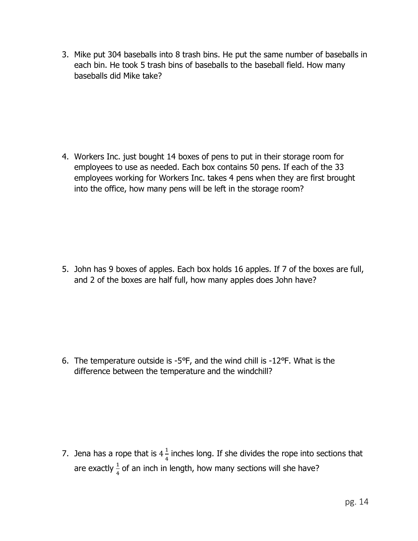3. Mike put 304 baseballs into 8 trash bins. He put the same number of baseballs in each bin. He took 5 trash bins of baseballs to the baseball field. How many baseballs did Mike take?

4. Workers Inc. just bought 14 boxes of pens to put in their storage room for employees to use as needed. Each box contains 50 pens. If each of the 33 employees working for Workers Inc. takes 4 pens when they are first brought into the office, how many pens will be left in the storage room?

5. John has 9 boxes of apples. Each box holds 16 apples. If 7 of the boxes are full, and 2 of the boxes are half full, how many apples does John have?

6. The temperature outside is -5℉, and the wind chill is -12℉. What is the difference between the temperature and the windchill?

7. Jena has a rope that is  $4\frac{1}{4}$  $\frac{1}{4}$  inches long. If she divides the rope into sections that are exactly  $\frac{1}{4}$  of an inch in length, how many sections will she have?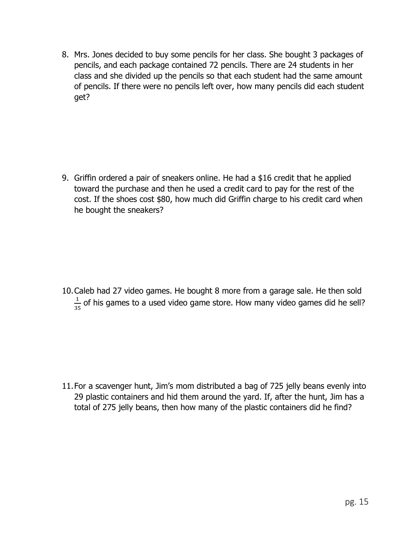8. Mrs. Jones decided to buy some pencils for her class. She bought 3 packages of pencils, and each package contained 72 pencils. There are 24 students in her class and she divided up the pencils so that each student had the same amount of pencils. If there were no pencils left over, how many pencils did each student get?

9. Griffin ordered a pair of sneakers online. He had a \$16 credit that he applied toward the purchase and then he used a credit card to pay for the rest of the cost. If the shoes cost \$80, how much did Griffin charge to his credit card when he bought the sneakers?

10.Caleb had 27 video games. He bought 8 more from a garage sale. He then sold 1  $\frac{1}{35}$  of his games to a used video game store. How many video games did he sell?

11.For a scavenger hunt, Jim's mom distributed a bag of 725 jelly beans evenly into 29 plastic containers and hid them around the yard. If, after the hunt, Jim has a total of 275 jelly beans, then how many of the plastic containers did he find?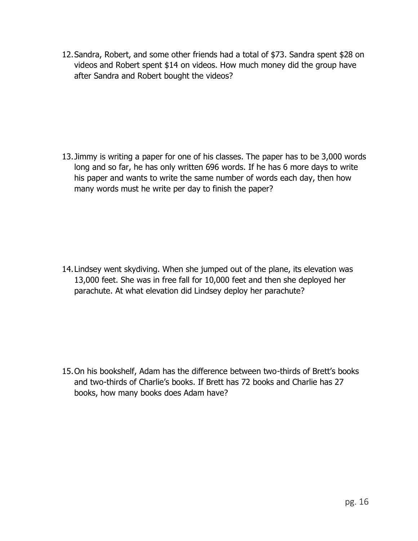12.Sandra, Robert, and some other friends had a total of \$73. Sandra spent \$28 on videos and Robert spent \$14 on videos. How much money did the group have after Sandra and Robert bought the videos?

13.Jimmy is writing a paper for one of his classes. The paper has to be 3,000 words long and so far, he has only written 696 words. If he has 6 more days to write his paper and wants to write the same number of words each day, then how many words must he write per day to finish the paper?

14.Lindsey went skydiving. When she jumped out of the plane, its elevation was 13,000 feet. She was in free fall for 10,000 feet and then she deployed her parachute. At what elevation did Lindsey deploy her parachute?

15.On his bookshelf, Adam has the difference between two-thirds of Brett's books and two-thirds of Charlie's books. If Brett has 72 books and Charlie has 27 books, how many books does Adam have?